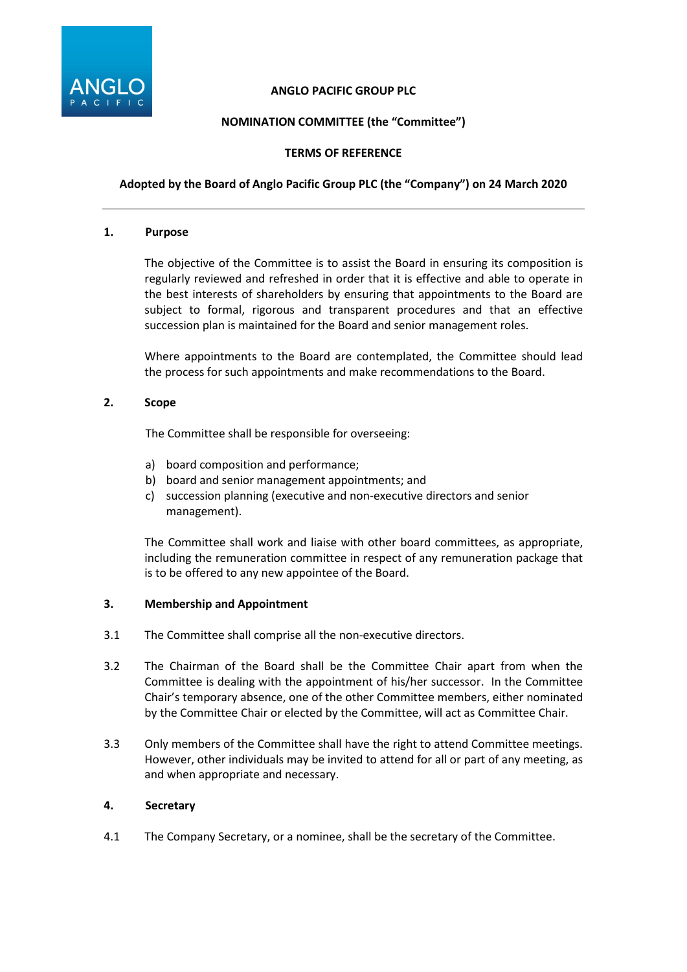

### **ANGLO PACIFIC GROUP PLC**

# **NOMINATION COMMITTEE (the "Committee")**

## **TERMS OF REFERENCE**

## **Adopted by the Board of Anglo Pacific Group PLC (the "Company") on 24 March 2020**

#### **1. Purpose**

The objective of the Committee is to assist the Board in ensuring its composition is regularly reviewed and refreshed in order that it is effective and able to operate in the best interests of shareholders by ensuring that appointments to the Board are subject to formal, rigorous and transparent procedures and that an effective succession plan is maintained for the Board and senior management roles.

Where appointments to the Board are contemplated, the Committee should lead the process for such appointments and make recommendations to the Board.

### **2. Scope**

The Committee shall be responsible for overseeing:

- a) board composition and performance;
- b) board and senior management appointments; and
- c) succession planning (executive and non-executive directors and senior management).

The Committee shall work and liaise with other board committees, as appropriate, including the remuneration committee in respect of any remuneration package that is to be offered to any new appointee of the Board.

### **3. Membership and Appointment**

- 3.1 The Committee shall comprise all the non-executive directors.
- 3.2 The Chairman of the Board shall be the Committee Chair apart from when the Committee is dealing with the appointment of his/her successor. In the Committee Chair's temporary absence, one of the other Committee members, either nominated by the Committee Chair or elected by the Committee, will act as Committee Chair.
- 3.3 Only members of the Committee shall have the right to attend Committee meetings. However, other individuals may be invited to attend for all or part of any meeting, as and when appropriate and necessary.

### **4. Secretary**

4.1 The Company Secretary, or a nominee, shall be the secretary of the Committee.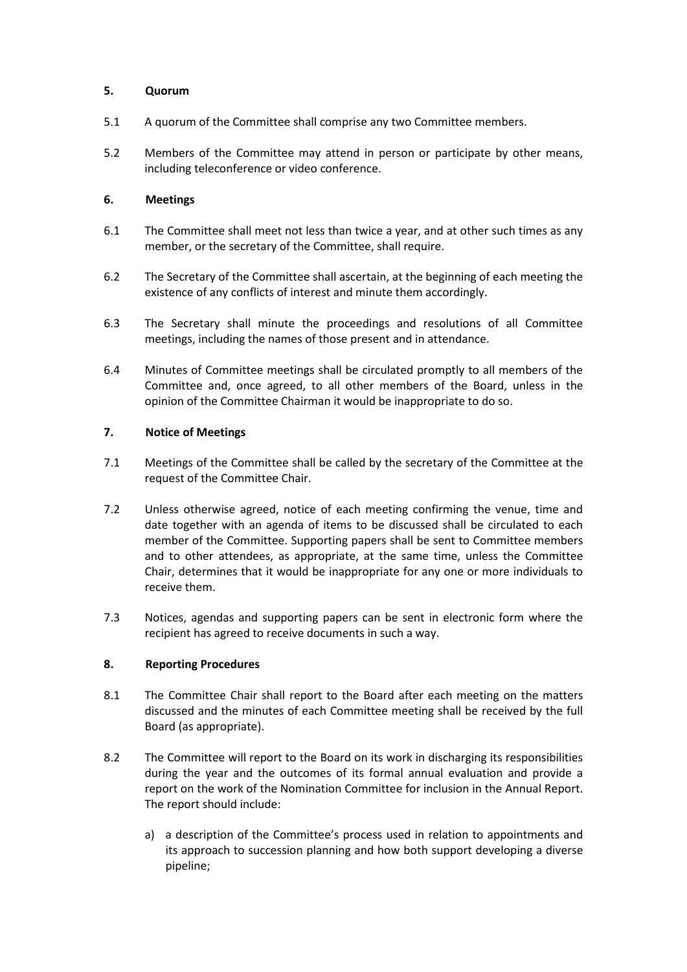### **5. Quorum**

- 5.1 A quorum of the Committee shall comprise any two Committee members.
- 5.2 Members of the Committee may attend in person or participate by other means, including teleconference or video conference.

# **6. Meetings**

- 6.1 The Committee shall meet not less than twice a year, and at other such times as any member, or the secretary of the Committee, shall require.
- 6.2 The Secretary of the Committee shall ascertain, at the beginning of each meeting the existence of any conflicts of interest and minute them accordingly.
- 6.3 The Secretary shall minute the proceedings and resolutions of all Committee meetings, including the names of those present and in attendance.
- 6.4 Minutes of Committee meetings shall be circulated promptly to all members of the Committee and, once agreed, to all other members of the Board, unless in the opinion of the Committee Chairman it would be inappropriate to do so.

## **7. Notice of Meetings**

- 7.1 Meetings of the Committee shall be called by the secretary of the Committee at the request of the Committee Chair.
- 7.2 Unless otherwise agreed, notice of each meeting confirming the venue, time and date together with an agenda of items to be discussed shall be circulated to each member of the Committee. Supporting papers shall be sent to Committee members and to other attendees, as appropriate, at the same time, unless the Committee Chair, determines that it would be inappropriate for any one or more individuals to receive them.
- 7.3 Notices, agendas and supporting papers can be sent in electronic form where the recipient has agreed to receive documents in such a way.

# **8. Reporting Procedures**

- 8.1 The Committee Chair shall report to the Board after each meeting on the matters discussed and the minutes of each Committee meeting shall be received by the full Board (as appropriate).
- 8.2 The Committee will report to the Board on its work in discharging its responsibilities during the year and the outcomes of its formal annual evaluation and provide a report on the work of the Nomination Committee for inclusion in the Annual Report. The report should include:
	- a) a description of the Committee's process used in relation to appointments and its approach to succession planning and how both support developing a diverse pipeline;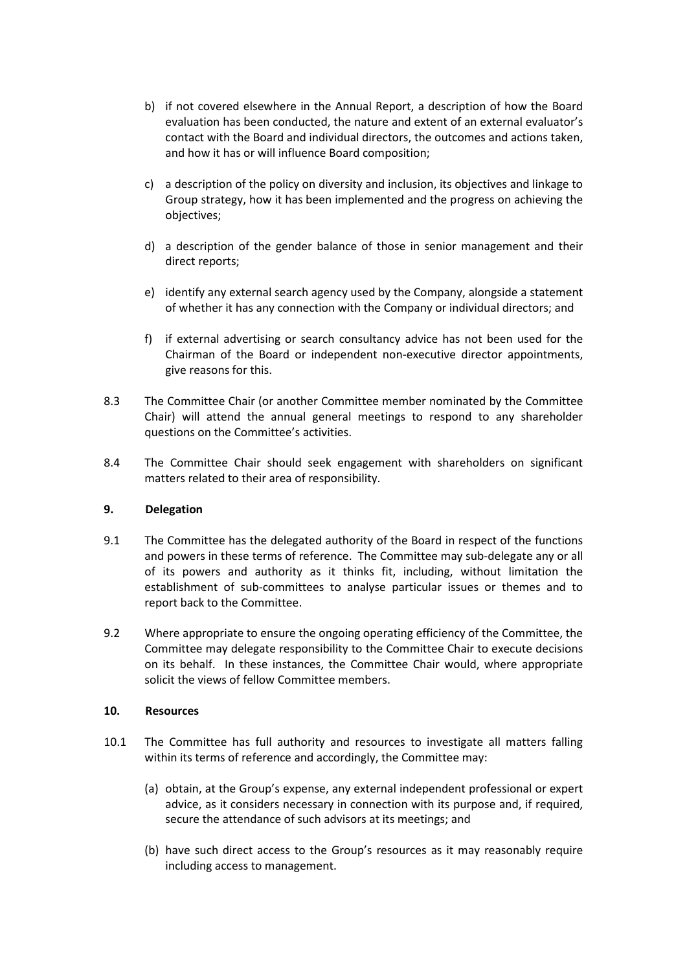- b) if not covered elsewhere in the Annual Report, a description of how the Board evaluation has been conducted, the nature and extent of an external evaluator's contact with the Board and individual directors, the outcomes and actions taken, and how it has or will influence Board composition;
- c) a description of the policy on diversity and inclusion, its objectives and linkage to Group strategy, how it has been implemented and the progress on achieving the objectives;
- d) a description of the gender balance of those in senior management and their direct reports;
- e) identify any external search agency used by the Company, alongside a statement of whether it has any connection with the Company or individual directors; and
- f) if external advertising or search consultancy advice has not been used for the Chairman of the Board or independent non-executive director appointments, give reasons for this.
- 8.3 The Committee Chair (or another Committee member nominated by the Committee Chair) will attend the annual general meetings to respond to any shareholder questions on the Committee's activities.
- 8.4 The Committee Chair should seek engagement with shareholders on significant matters related to their area of responsibility.

### **9. Delegation**

- 9.1 The Committee has the delegated authority of the Board in respect of the functions and powers in these terms of reference. The Committee may sub-delegate any or all of its powers and authority as it thinks fit, including, without limitation the establishment of sub-committees to analyse particular issues or themes and to report back to the Committee.
- 9.2 Where appropriate to ensure the ongoing operating efficiency of the Committee, the Committee may delegate responsibility to the Committee Chair to execute decisions on its behalf. In these instances, the Committee Chair would, where appropriate solicit the views of fellow Committee members.

### **10. Resources**

- 10.1 The Committee has full authority and resources to investigate all matters falling within its terms of reference and accordingly, the Committee may:
	- (a) obtain, at the Group's expense, any external independent professional or expert advice, as it considers necessary in connection with its purpose and, if required, secure the attendance of such advisors at its meetings; and
	- (b) have such direct access to the Group's resources as it may reasonably require including access to management.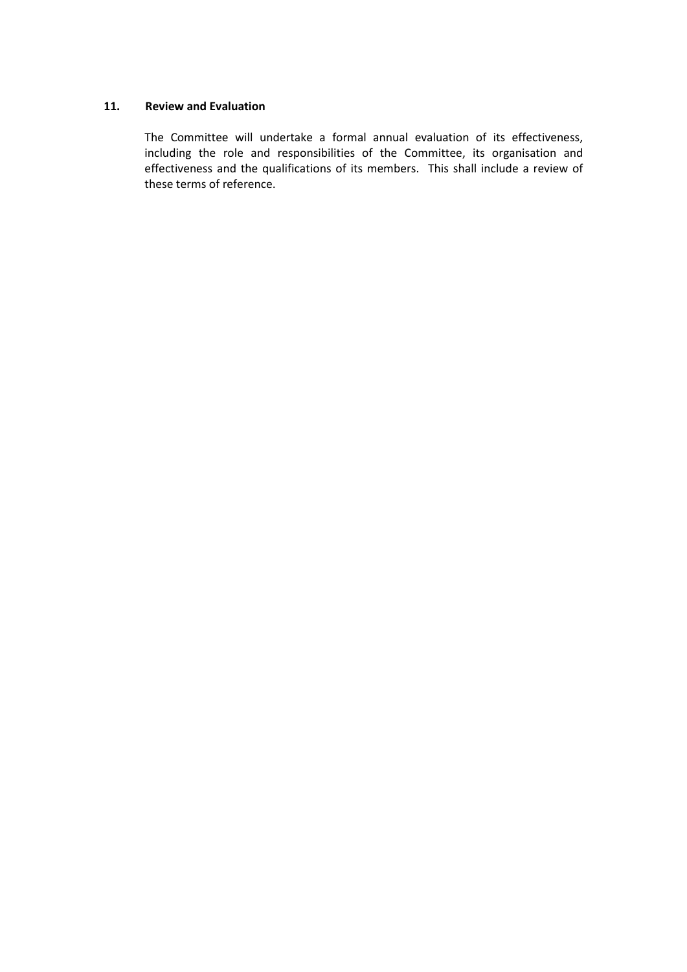### **11. Review and Evaluation**

The Committee will undertake a formal annual evaluation of its effectiveness, including the role and responsibilities of the Committee, its organisation and effectiveness and the qualifications of its members. This shall include a review of these terms of reference.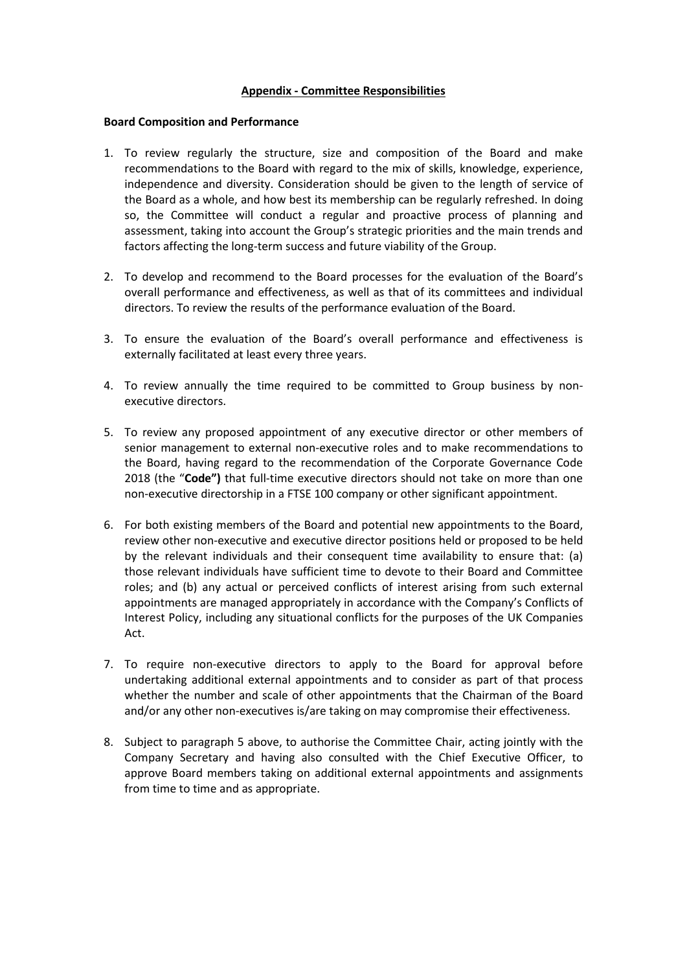### **Appendix - Committee Responsibilities**

#### **Board Composition and Performance**

- 1. To review regularly the structure, size and composition of the Board and make recommendations to the Board with regard to the mix of skills, knowledge, experience, independence and diversity. Consideration should be given to the length of service of the Board as a whole, and how best its membership can be regularly refreshed. In doing so, the Committee will conduct a regular and proactive process of planning and assessment, taking into account the Group's strategic priorities and the main trends and factors affecting the long-term success and future viability of the Group.
- 2. To develop and recommend to the Board processes for the evaluation of the Board's overall performance and effectiveness, as well as that of its committees and individual directors. To review the results of the performance evaluation of the Board.
- 3. To ensure the evaluation of the Board's overall performance and effectiveness is externally facilitated at least every three years.
- 4. To review annually the time required to be committed to Group business by nonexecutive directors.
- 5. To review any proposed appointment of any executive director or other members of senior management to external non-executive roles and to make recommendations to the Board, having regard to the recommendation of the Corporate Governance Code 2018 (the "**Code")** that full-time executive directors should not take on more than one non-executive directorship in a FTSE 100 company or other significant appointment.
- 6. For both existing members of the Board and potential new appointments to the Board, review other non-executive and executive director positions held or proposed to be held by the relevant individuals and their consequent time availability to ensure that: (a) those relevant individuals have sufficient time to devote to their Board and Committee roles; and (b) any actual or perceived conflicts of interest arising from such external appointments are managed appropriately in accordance with the Company's Conflicts of Interest Policy, including any situational conflicts for the purposes of the UK Companies Act.
- 7. To require non-executive directors to apply to the Board for approval before undertaking additional external appointments and to consider as part of that process whether the number and scale of other appointments that the Chairman of the Board and/or any other non-executives is/are taking on may compromise their effectiveness.
- 8. Subject to paragraph 5 above, to authorise the Committee Chair, acting jointly with the Company Secretary and having also consulted with the Chief Executive Officer, to approve Board members taking on additional external appointments and assignments from time to time and as appropriate.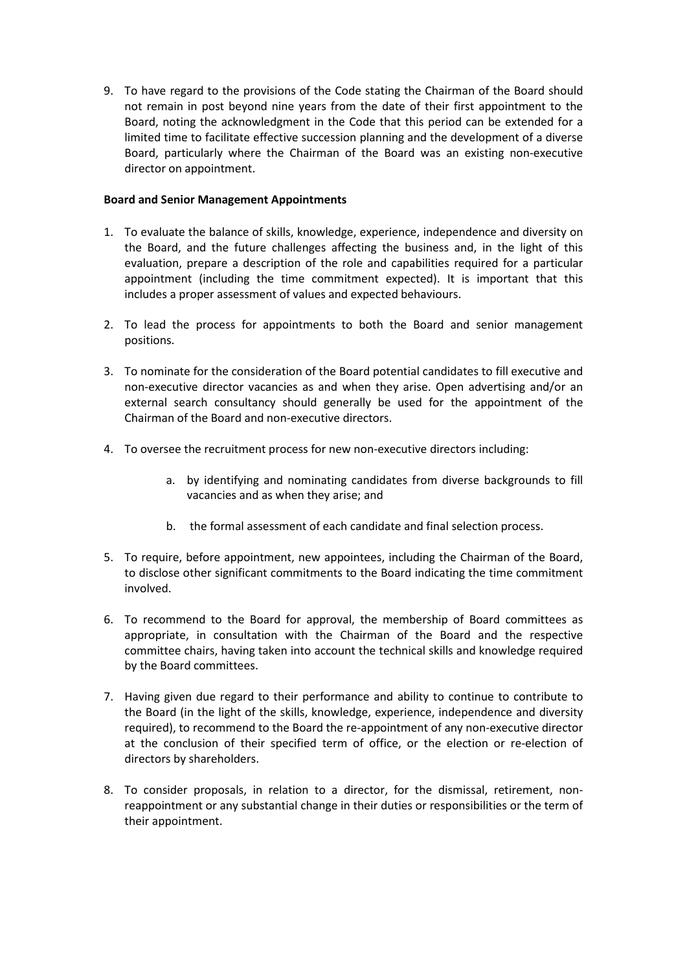9. To have regard to the provisions of the Code stating the Chairman of the Board should not remain in post beyond nine years from the date of their first appointment to the Board, noting the acknowledgment in the Code that this period can be extended for a limited time to facilitate effective succession planning and the development of a diverse Board, particularly where the Chairman of the Board was an existing non-executive director on appointment.

### **Board and Senior Management Appointments**

- 1. To evaluate the balance of skills, knowledge, experience, independence and diversity on the Board, and the future challenges affecting the business and, in the light of this evaluation, prepare a description of the role and capabilities required for a particular appointment (including the time commitment expected). It is important that this includes a proper assessment of values and expected behaviours.
- 2. To lead the process for appointments to both the Board and senior management positions.
- 3. To nominate for the consideration of the Board potential candidates to fill executive and non-executive director vacancies as and when they arise. Open advertising and/or an external search consultancy should generally be used for the appointment of the Chairman of the Board and non-executive directors.
- 4. To oversee the recruitment process for new non-executive directors including:
	- a. by identifying and nominating candidates from diverse backgrounds to fill vacancies and as when they arise; and
	- b. the formal assessment of each candidate and final selection process.
- 5. To require, before appointment, new appointees, including the Chairman of the Board, to disclose other significant commitments to the Board indicating the time commitment involved.
- 6. To recommend to the Board for approval, the membership of Board committees as appropriate, in consultation with the Chairman of the Board and the respective committee chairs, having taken into account the technical skills and knowledge required by the Board committees.
- 7. Having given due regard to their performance and ability to continue to contribute to the Board (in the light of the skills, knowledge, experience, independence and diversity required), to recommend to the Board the re-appointment of any non-executive director at the conclusion of their specified term of office, or the election or re-election of directors by shareholders.
- 8. To consider proposals, in relation to a director, for the dismissal, retirement, nonreappointment or any substantial change in their duties or responsibilities or the term of their appointment.